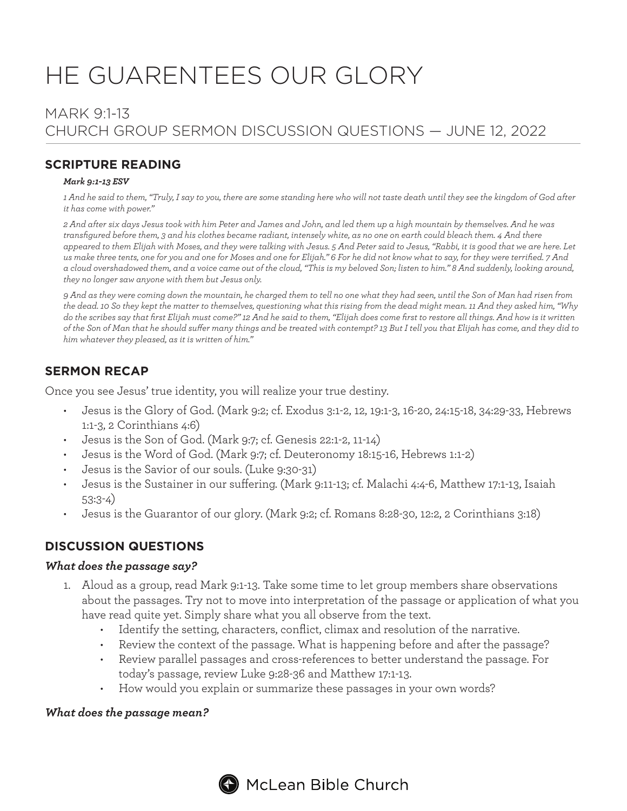# HE GUARENTEES OUR GLORY

# MARK 9:1-13 CHURCH GROUP SERMON DISCUSSION QUESTIONS — JUNE 12, 2022

## **SCRIPTURE READING**

#### *Mark 9:1-13 ESV*

*1 And he said to them, "Truly, I say to you, there are some standing here who will not taste death until they see the kingdom of God after it has come with power."*

*2 And after six days Jesus took with him Peter and James and John, and led them up a high mountain by themselves. And he was transfigured before them, 3 and his clothes became radiant, intensely white, as no one on earth could bleach them. 4 And there appeared to them Elijah with Moses, and they were talking with Jesus. 5 And Peter said to Jesus, "Rabbi, it is good that we are here. Let us make three tents, one for you and one for Moses and one for Elijah." 6 For he did not know what to say, for they were terrified. 7 And a cloud overshadowed them, and a voice came out of the cloud, "This is my beloved Son; listen to him." 8 And suddenly, looking around, they no longer saw anyone with them but Jesus only.*

*9 And as they were coming down the mountain, he charged them to tell no one what they had seen, until the Son of Man had risen from the dead. 10 So they kept the matter to themselves, questioning what this rising from the dead might mean. 11 And they asked him, "Why do the scribes say that first Elijah must come?" 12 And he said to them, "Elijah does come first to restore all things. And how is it written of the Son of Man that he should suffer many things and be treated with contempt? 13 But I tell you that Elijah has come, and they did to him whatever they pleased, as it is written of him."*

## **SERMON RECAP**

Once you see Jesus' true identity, you will realize your true destiny.

- Jesus is the Glory of God. (Mark 9:2; cf. Exodus 3:1-2, 12, 19:1-3, 16-20, 24:15-18, 34:29-33, Hebrews 1:1-3, 2 Corinthians 4:6)
- Jesus is the Son of God. (Mark 9:7; cf. Genesis 22:1-2, 11-14)
- Jesus is the Word of God. (Mark 9:7; cf. Deuteronomy 18:15-16, Hebrews 1:1-2)
- Jesus is the Savior of our souls. (Luke 9:30-31)
- Jesus is the Sustainer in our suffering. (Mark 9:11-13; cf. Malachi 4:4-6, Matthew 17:1-13, Isaiah 53:3-4)
- Jesus is the Guarantor of our glory. (Mark 9:2; cf. Romans 8:28-30, 12:2, 2 Corinthians 3:18)

## **DISCUSSION QUESTIONS**

#### *What does the passage say?*

- 1. Aloud as a group, read Mark 9:1-13. Take some time to let group members share observations about the passages. Try not to move into interpretation of the passage or application of what you have read quite yet. Simply share what you all observe from the text.
	- Identify the setting, characters, conflict, climax and resolution of the narrative.
	- Review the context of the passage. What is happening before and after the passage?
	- Review parallel passages and cross-references to better understand the passage. For today's passage, review Luke 9:28-36 and Matthew 17:1-13.
	- How would you explain or summarize these passages in your own words?

#### *What does the passage mean?*